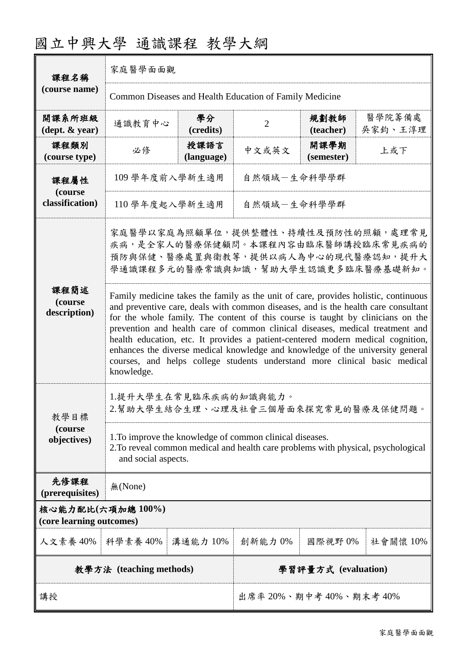| 國立中興大學 通識課程 教學大綱 |  |  |
|------------------|--|--|
|------------------|--|--|

| 課程名稱                                         | 家庭醫學面面觀                                                                                                                                                                                                                                                                                                                                                                                                                                                                                                                                                                                                        |                    |                         |                     |                   |
|----------------------------------------------|----------------------------------------------------------------------------------------------------------------------------------------------------------------------------------------------------------------------------------------------------------------------------------------------------------------------------------------------------------------------------------------------------------------------------------------------------------------------------------------------------------------------------------------------------------------------------------------------------------------|--------------------|-------------------------|---------------------|-------------------|
| (course name)                                | Common Diseases and Health Education of Family Medicine                                                                                                                                                                                                                                                                                                                                                                                                                                                                                                                                                        |                    |                         |                     |                   |
| 開課系所班級<br>$(\text{dept.} \& \text{ year})$   | 通識教育中心                                                                                                                                                                                                                                                                                                                                                                                                                                                                                                                                                                                                         | 學分<br>(credits)    | $\overline{2}$          | 規劃教師<br>(teacher)   | 醫學院籌備處<br>吳家鈞、王淳理 |
| 課程類別<br>(course type)                        | 必修                                                                                                                                                                                                                                                                                                                                                                                                                                                                                                                                                                                                             | 授課語言<br>(language) | 中文或英文                   | 開課學期<br>(semester)  | 上或下               |
| 課程屬性                                         | 109 學年度前入學新生適用                                                                                                                                                                                                                                                                                                                                                                                                                                                                                                                                                                                                 |                    | 自然領域-生命科學學群             |                     |                   |
| (course<br>classification)                   | 110 學年度起入學新生適用                                                                                                                                                                                                                                                                                                                                                                                                                                                                                                                                                                                                 |                    | 自然領域一生命科學學群             |                     |                   |
|                                              | 家庭醫學以家庭為照顧單位,提供整體性、持續性及預防性的照顧,處理常見<br>疾病,是全家人的醫療保健顧問。本課程內容由臨床醫師講授臨床常見疾病的<br>預防與保健、醫療處置與衛教等,提供以病人為中心的現代醫療認知,提升大<br>學通識課程多元的醫療常識與知識,幫助大學生認識更多臨床醫療基礎新知。                                                                                                                                                                                                                                                                                                                                                                                                                                                           |                    |                         |                     |                   |
| 課程簡述<br>(course<br>description)              | Family medicine takes the family as the unit of care, provides holistic, continuous<br>and preventive care, deals with common diseases, and is the health care consultant<br>for the whole family. The content of this course is taught by clinicians on the<br>prevention and health care of common clinical diseases, medical treatment and<br>health education, etc. It provides a patient-centered modern medical cognition,<br>enhances the diverse medical knowledge and knowledge of the university general<br>courses, and helps college students understand more clinical basic medical<br>knowledge. |                    |                         |                     |                   |
| 教學目標                                         | 1.提升大學生在常見臨床疾病的知識與能力。<br>2.幫助大學生結合生理、心理及社會三個層面來探究常見的醫療及保健問題。                                                                                                                                                                                                                                                                                                                                                                                                                                                                                                                                                   |                    |                         |                     |                   |
| (course<br>objectives)                       | 1. To improve the knowledge of common clinical diseases.<br>2. To reveal common medical and health care problems with physical, psychological<br>and social aspects.                                                                                                                                                                                                                                                                                                                                                                                                                                           |                    |                         |                     |                   |
| 先修課程<br>(prerequisites)                      | 無(None)                                                                                                                                                                                                                                                                                                                                                                                                                                                                                                                                                                                                        |                    |                         |                     |                   |
| 核心能力配比(六項加總100%)<br>(core learning outcomes) |                                                                                                                                                                                                                                                                                                                                                                                                                                                                                                                                                                                                                |                    |                         |                     |                   |
| 人文素養 40%                                     | 科學素養 40%                                                                                                                                                                                                                                                                                                                                                                                                                                                                                                                                                                                                       | 溝通能力 10%           | 創新能力 0%                 | 國際視野0%              | 社會關懷 10%          |
|                                              | 教學方法 (teaching methods)                                                                                                                                                                                                                                                                                                                                                                                                                                                                                                                                                                                        |                    |                         | 學習評量方式 (evaluation) |                   |
| 講授                                           |                                                                                                                                                                                                                                                                                                                                                                                                                                                                                                                                                                                                                |                    | 出席率 20%、期中考 40%、期末考 40% |                     |                   |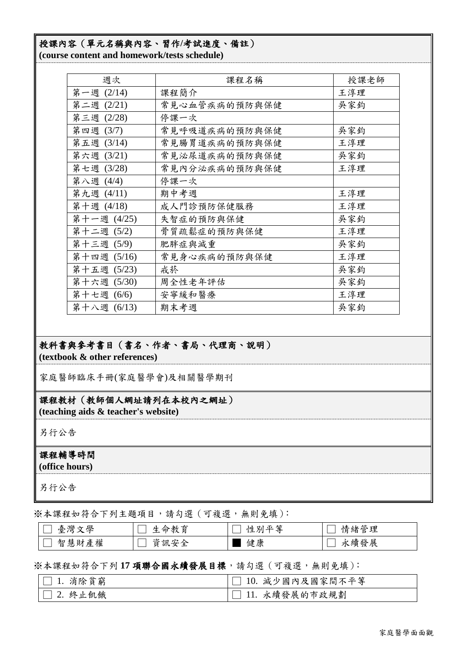# 授課內容(單元名稱與內容、習作**/**考試進度、備註)

**(course content and homework/tests schedule)**

| 週次          | 课程名稱          | 授課老師 |
|-------------|---------------|------|
| 第一週 (2/14)  | 课程简介          | 王淳理  |
| 第二週 (2/21)  | 常見心血管疾病的預防與保健 | 吳家鈞  |
| 第三週 (2/28)  | 停課一次          |      |
| 第四週 (3/7)   | 常見呼吸道疾病的預防與保健 | 吳家鈞  |
| 第五週 (3/14)  | 常見腸胃道疾病的預防與保健 | 王淳理  |
| 第六週 (3/21)  | 常見泌尿道疾病的預防與保健 | 吳家鈞  |
| 第七週 (3/28)  | 常見內分泌疾病的預防與保健 | 王淳理  |
| 第八週 (4/4)   | 停課一次          |      |
| 第九週 (4/11)  | 期中考週          | 王淳理  |
| 第十週 (4/18)  | 成人門診預防保健服務    | 王淳理  |
| 第十一週 (4/25) | 失智症的預防與保健     | 吳家鈞  |
| 第十二週 (5/2)  | 骨質疏鬆症的預防與保健   | 王淳理  |
| 第十三週 (5/9)  | 肥胖症與減重        | 吳家鈞  |
| 第十四週 (5/16) | 常見身心疾病的預防與保健  | 王淳理  |
| 第十五週 (5/23) | 戒菸            | 吳家鈞  |
| 第十六週 (5/30) | 周全性老年評估       | 吳家鈞  |
| 第十七週 (6/6)  | 安寧緩和醫療        | 王淳理  |
| 第十八週 (6/13) | 期末考週          | 吳家鈞  |

## 教科書與參考書目(書名、作者、書局、代理商、說明) **(textbook & other references)**

家庭醫師臨床手冊(家庭醫學會)及相關醫學期刊

## 課程教材(教師個人網址請列在本校內之網址)

**(teaching aids & teacher's website)**

另行公告

### 課程輔導時間

**(office hours)**

另行公告

※本課程如符合下列主題項目,請勾選(可複選,無則免填):

| 舆<br>いんきん<br>亳<br>、海外          | .<br>衏<br>- 250            | 丛<br>正生<br>別 | トト<br>工田<br>緖<br>$\sim$<br>ь<br>一月 |
|--------------------------------|----------------------------|--------------|------------------------------------|
| 14.E<br>智<br>慧<br>罹<br>圧<br>9Д | 窅<br>ātl<br>↗<br><b>__</b> | 健康           | 發展<br>人緭゛<br>フト                    |

### ※本課程如符合下列 **17** 項聯合國永續發展目標,請勾選(可複選,無則免填):

| $ \square$ 1. 消除貧窮 | □ 10. 減少國內及國家間不平等 |
|--------------------|-------------------|
| $ \Box$ 2. 終止飢餓    | □ 11. 永續發展的市政規劃   |